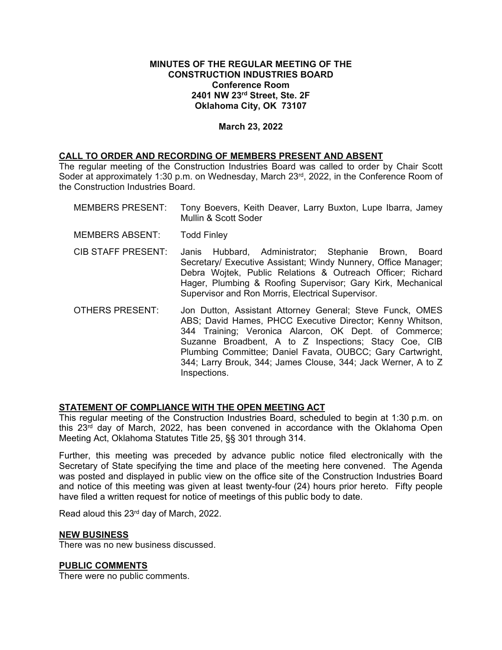### **MINUTES OF THE REGULAR MEETING OF THE CONSTRUCTION INDUSTRIES BOARD Conference Room 2401 NW 23rd Street, Ste. 2F Oklahoma City, OK 73107**

## **March 23, 2022**

### **CALL TO ORDER AND RECORDING OF MEMBERS PRESENT AND ABSENT**

The regular meeting of the Construction Industries Board was called to order by Chair Scott Soder at approximately 1:30 p.m. on Wednesday, March 23<sup>rd</sup>, 2022, in the Conference Room of the Construction Industries Board.

- MEMBERS PRESENT: Tony Boevers, Keith Deaver, Larry Buxton, Lupe Ibarra, Jamey Mullin & Scott Soder MEMBERS ABSENT: Todd Finley CIB STAFF PRESENT: Janis Hubbard, Administrator; Stephanie Brown, Board Secretary/ Executive Assistant; Windy Nunnery, Office Manager; Debra Wojtek, Public Relations & Outreach Officer; Richard Hager, Plumbing & Roofing Supervisor; Gary Kirk, Mechanical Supervisor and Ron Morris, Electrical Supervisor.
- OTHERS PRESENT: Jon Dutton, Assistant Attorney General; Steve Funck, OMES ABS; David Hames, PHCC Executive Director; Kenny Whitson, 344 Training; Veronica Alarcon, OK Dept. of Commerce; Suzanne Broadbent, A to Z Inspections; Stacy Coe, CIB Plumbing Committee; Daniel Favata, OUBCC; Gary Cartwright, 344; Larry Brouk, 344; James Clouse, 344; Jack Werner, A to Z Inspections.

# **STATEMENT OF COMPLIANCE WITH THE OPEN MEETING ACT**

This regular meeting of the Construction Industries Board, scheduled to begin at 1:30 p.m. on this 23rd day of March, 2022, has been convened in accordance with the Oklahoma Open Meeting Act, Oklahoma Statutes Title 25, §§ 301 through 314.

Further, this meeting was preceded by advance public notice filed electronically with the Secretary of State specifying the time and place of the meeting here convened. The Agenda was posted and displayed in public view on the office site of the Construction Industries Board and notice of this meeting was given at least twenty-four (24) hours prior hereto. Fifty people have filed a written request for notice of meetings of this public body to date.

Read aloud this 23<sup>rd</sup> day of March, 2022.

### **NEW BUSINESS**

There was no new business discussed.

### **PUBLIC COMMENTS**

There were no public comments.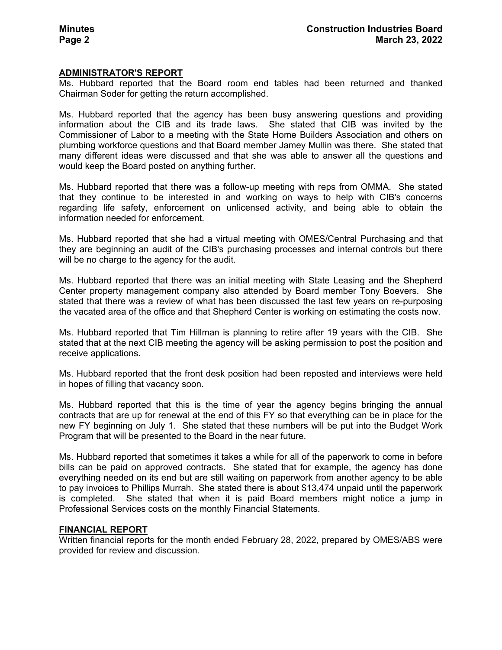### **ADMINISTRATOR'S REPORT**

Ms. Hubbard reported that the Board room end tables had been returned and thanked Chairman Soder for getting the return accomplished.

Ms. Hubbard reported that the agency has been busy answering questions and providing information about the CIB and its trade laws. She stated that CIB was invited by the Commissioner of Labor to a meeting with the State Home Builders Association and others on plumbing workforce questions and that Board member Jamey Mullin was there. She stated that many different ideas were discussed and that she was able to answer all the questions and would keep the Board posted on anything further.

Ms. Hubbard reported that there was a follow-up meeting with reps from OMMA. She stated that they continue to be interested in and working on ways to help with CIB's concerns regarding life safety, enforcement on unlicensed activity, and being able to obtain the information needed for enforcement.

Ms. Hubbard reported that she had a virtual meeting with OMES/Central Purchasing and that they are beginning an audit of the CIB's purchasing processes and internal controls but there will be no charge to the agency for the audit.

Ms. Hubbard reported that there was an initial meeting with State Leasing and the Shepherd Center property management company also attended by Board member Tony Boevers. She stated that there was a review of what has been discussed the last few years on re-purposing the vacated area of the office and that Shepherd Center is working on estimating the costs now.

Ms. Hubbard reported that Tim Hillman is planning to retire after 19 years with the CIB. She stated that at the next CIB meeting the agency will be asking permission to post the position and receive applications.

Ms. Hubbard reported that the front desk position had been reposted and interviews were held in hopes of filling that vacancy soon.

Ms. Hubbard reported that this is the time of year the agency begins bringing the annual contracts that are up for renewal at the end of this FY so that everything can be in place for the new FY beginning on July 1. She stated that these numbers will be put into the Budget Work Program that will be presented to the Board in the near future.

Ms. Hubbard reported that sometimes it takes a while for all of the paperwork to come in before bills can be paid on approved contracts. She stated that for example, the agency has done everything needed on its end but are still waiting on paperwork from another agency to be able to pay invoices to Phillips Murrah. She stated there is about \$13,474 unpaid until the paperwork is completed. She stated that when it is paid Board members might notice a jump in Professional Services costs on the monthly Financial Statements.

#### **FINANCIAL REPORT**

Written financial reports for the month ended February 28, 2022, prepared by OMES/ABS were provided for review and discussion.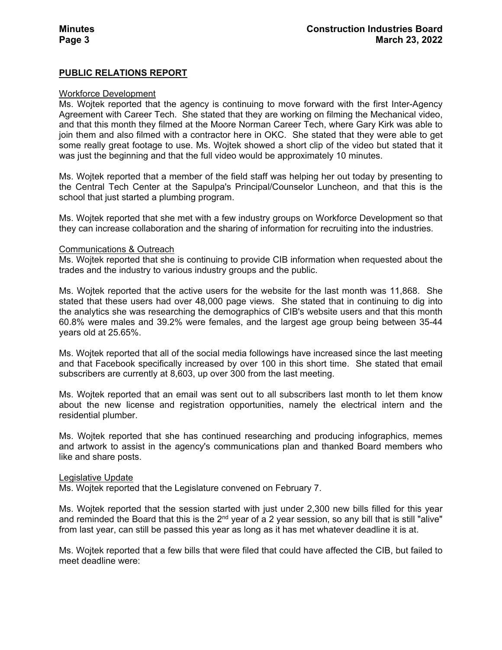## **PUBLIC RELATIONS REPORT**

#### Workforce Development

Ms. Wojtek reported that the agency is continuing to move forward with the first Inter-Agency Agreement with Career Tech. She stated that they are working on filming the Mechanical video, and that this month they filmed at the Moore Norman Career Tech, where Gary Kirk was able to join them and also filmed with a contractor here in OKC. She stated that they were able to get some really great footage to use. Ms. Wojtek showed a short clip of the video but stated that it was just the beginning and that the full video would be approximately 10 minutes.

Ms. Wojtek reported that a member of the field staff was helping her out today by presenting to the Central Tech Center at the Sapulpa's Principal/Counselor Luncheon, and that this is the school that just started a plumbing program.

Ms. Wojtek reported that she met with a few industry groups on Workforce Development so that they can increase collaboration and the sharing of information for recruiting into the industries.

#### Communications & Outreach

Ms. Wojtek reported that she is continuing to provide CIB information when requested about the trades and the industry to various industry groups and the public.

Ms. Wojtek reported that the active users for the website for the last month was 11,868. She stated that these users had over 48,000 page views. She stated that in continuing to dig into the analytics she was researching the demographics of CIB's website users and that this month 60.8% were males and 39.2% were females, and the largest age group being between 35-44 years old at 25.65%.

Ms. Wojtek reported that all of the social media followings have increased since the last meeting and that Facebook specifically increased by over 100 in this short time. She stated that email subscribers are currently at 8,603, up over 300 from the last meeting.

Ms. Wojtek reported that an email was sent out to all subscribers last month to let them know about the new license and registration opportunities, namely the electrical intern and the residential plumber.

Ms. Wojtek reported that she has continued researching and producing infographics, memes and artwork to assist in the agency's communications plan and thanked Board members who like and share posts.

#### Legislative Update

Ms. Wojtek reported that the Legislature convened on February 7.

Ms. Wojtek reported that the session started with just under 2,300 new bills filled for this year and reminded the Board that this is the  $2<sup>nd</sup>$  year of a 2 year session, so any bill that is still "alive" from last year, can still be passed this year as long as it has met whatever deadline it is at.

Ms. Wojtek reported that a few bills that were filed that could have affected the CIB, but failed to meet deadline were: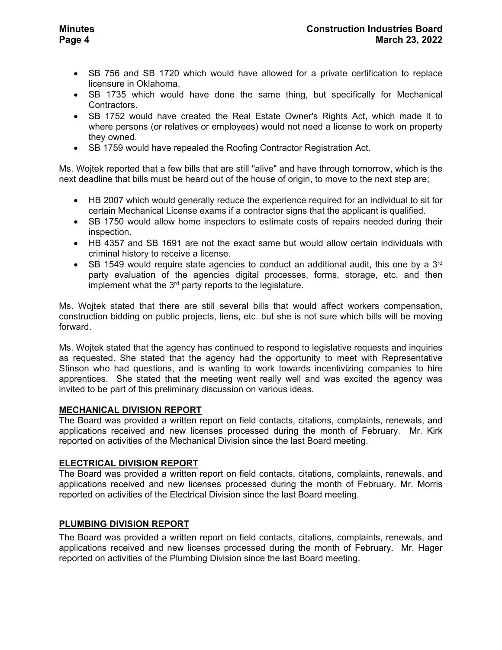- SB 1735 which would have done the same thing, but specifically for Mechanical Contractors.
- SB 1752 would have created the Real Estate Owner's Rights Act, which made it to where persons (or relatives or employees) would not need a license to work on property they owned.
- SB 1759 would have repealed the Roofing Contractor Registration Act.

Ms. Wojtek reported that a few bills that are still "alive" and have through tomorrow, which is the next deadline that bills must be heard out of the house of origin, to move to the next step are;

- HB 2007 which would generally reduce the experience required for an individual to sit for certain Mechanical License exams if a contractor signs that the applicant is qualified.
- SB 1750 would allow home inspectors to estimate costs of repairs needed during their inspection.
- HB 4357 and SB 1691 are not the exact same but would allow certain individuals with criminal history to receive a license.
- SB 1549 would require state agencies to conduct an additional audit, this one by a  $3<sup>rd</sup>$ party evaluation of the agencies digital processes, forms, storage, etc. and then implement what the 3<sup>rd</sup> party reports to the legislature.

Ms. Wojtek stated that there are still several bills that would affect workers compensation, construction bidding on public projects, liens, etc. but she is not sure which bills will be moving forward.

Ms. Wojtek stated that the agency has continued to respond to legislative requests and inquiries as requested. She stated that the agency had the opportunity to meet with Representative Stinson who had questions, and is wanting to work towards incentivizing companies to hire apprentices. She stated that the meeting went really well and was excited the agency was invited to be part of this preliminary discussion on various ideas.

# **MECHANICAL DIVISION REPORT**

The Board was provided a written report on field contacts, citations, complaints, renewals, and applications received and new licenses processed during the month of February. Mr. Kirk reported on activities of the Mechanical Division since the last Board meeting.

# **ELECTRICAL DIVISION REPORT**

The Board was provided a written report on field contacts, citations, complaints, renewals, and applications received and new licenses processed during the month of February. Mr. Morris reported on activities of the Electrical Division since the last Board meeting.

# **PLUMBING DIVISION REPORT**

The Board was provided a written report on field contacts, citations, complaints, renewals, and applications received and new licenses processed during the month of February. Mr. Hager reported on activities of the Plumbing Division since the last Board meeting.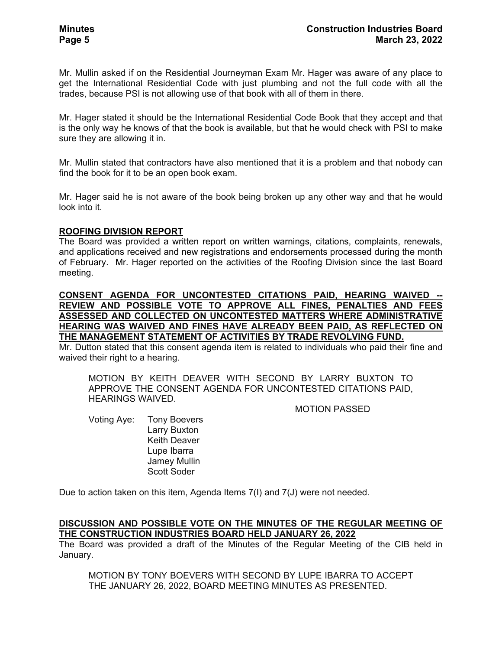Mr. Mullin asked if on the Residential Journeyman Exam Mr. Hager was aware of any place to get the International Residential Code with just plumbing and not the full code with all the trades, because PSI is not allowing use of that book with all of them in there.

Mr. Hager stated it should be the International Residential Code Book that they accept and that is the only way he knows of that the book is available, but that he would check with PSI to make sure they are allowing it in.

Mr. Mullin stated that contractors have also mentioned that it is a problem and that nobody can find the book for it to be an open book exam.

Mr. Hager said he is not aware of the book being broken up any other way and that he would look into it.

### **ROOFING DIVISION REPORT**

The Board was provided a written report on written warnings, citations, complaints, renewals, and applications received and new registrations and endorsements processed during the month of February. Mr. Hager reported on the activities of the Roofing Division since the last Board meeting.

**CONSENT AGENDA FOR UNCONTESTED CITATIONS PAID, HEARING WAIVED -- REVIEW AND POSSIBLE VOTE TO APPROVE ALL FINES, PENALTIES AND FEES ASSESSED AND COLLECTED ON UNCONTESTED MATTERS WHERE ADMINISTRATIVE HEARING WAS WAIVED AND FINES HAVE ALREADY BEEN PAID, AS REFLECTED ON THE MANAGEMENT STATEMENT OF ACTIVITIES BY TRADE REVOLVING FUND.** 

Mr. Dutton stated that this consent agenda item is related to individuals who paid their fine and waived their right to a hearing.

MOTION BY KEITH DEAVER WITH SECOND BY LARRY BUXTON TO APPROVE THE CONSENT AGENDA FOR UNCONTESTED CITATIONS PAID, HEARINGS WAIVED.

#### MOTION PASSED

Voting Aye: Tony Boevers Larry Buxton Keith Deaver Lupe Ibarra Jamey Mullin Scott Soder

Due to action taken on this item, Agenda Items 7(I) and 7(J) were not needed.

## **DISCUSSION AND POSSIBLE VOTE ON THE MINUTES OF THE REGULAR MEETING OF THE CONSTRUCTION INDUSTRIES BOARD HELD JANUARY 26, 2022**

The Board was provided a draft of the Minutes of the Regular Meeting of the CIB held in January.

MOTION BY TONY BOEVERS WITH SECOND BY LUPE IBARRA TO ACCEPT THE JANUARY 26, 2022, BOARD MEETING MINUTES AS PRESENTED.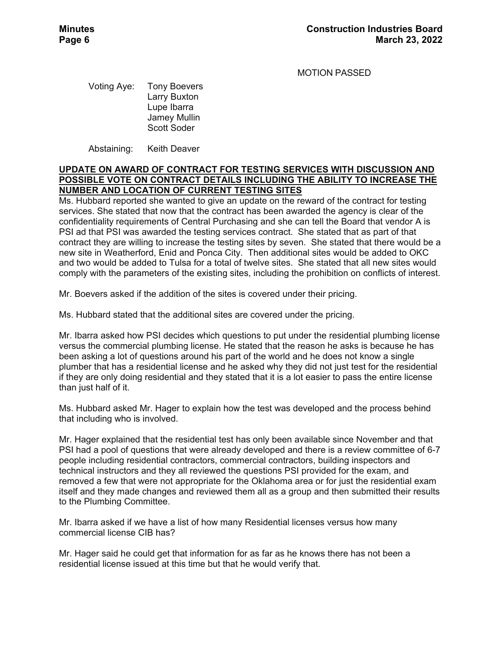MOTION PASSED

Voting Aye: Tony Boevers Larry Buxton Lupe Ibarra Jamey Mullin Scott Soder

Abstaining: Keith Deaver

## **UPDATE ON AWARD OF CONTRACT FOR TESTING SERVICES WITH DISCUSSION AND POSSIBLE VOTE ON CONTRACT DETAILS INCLUDING THE ABILITY TO INCREASE THE NUMBER AND LOCATION OF CURRENT TESTING SITES**

Ms. Hubbard reported she wanted to give an update on the reward of the contract for testing services. She stated that now that the contract has been awarded the agency is clear of the confidentiality requirements of Central Purchasing and she can tell the Board that vendor A is PSI ad that PSI was awarded the testing services contract. She stated that as part of that contract they are willing to increase the testing sites by seven. She stated that there would be a new site in Weatherford, Enid and Ponca City. Then additional sites would be added to OKC and two would be added to Tulsa for a total of twelve sites. She stated that all new sites would comply with the parameters of the existing sites, including the prohibition on conflicts of interest.

Mr. Boevers asked if the addition of the sites is covered under their pricing.

Ms. Hubbard stated that the additional sites are covered under the pricing.

Mr. Ibarra asked how PSI decides which questions to put under the residential plumbing license versus the commercial plumbing license. He stated that the reason he asks is because he has been asking a lot of questions around his part of the world and he does not know a single plumber that has a residential license and he asked why they did not just test for the residential if they are only doing residential and they stated that it is a lot easier to pass the entire license than just half of it.

Ms. Hubbard asked Mr. Hager to explain how the test was developed and the process behind that including who is involved.

Mr. Hager explained that the residential test has only been available since November and that PSI had a pool of questions that were already developed and there is a review committee of 6-7 people including residential contractors, commercial contractors, building inspectors and technical instructors and they all reviewed the questions PSI provided for the exam, and removed a few that were not appropriate for the Oklahoma area or for just the residential exam itself and they made changes and reviewed them all as a group and then submitted their results to the Plumbing Committee.

Mr. Ibarra asked if we have a list of how many Residential licenses versus how many commercial license CIB has?

Mr. Hager said he could get that information for as far as he knows there has not been a residential license issued at this time but that he would verify that.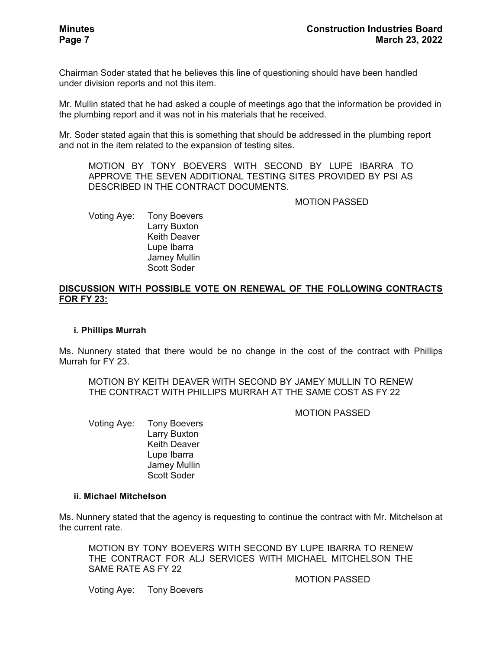Chairman Soder stated that he believes this line of questioning should have been handled under division reports and not this item.

Mr. Mullin stated that he had asked a couple of meetings ago that the information be provided in the plumbing report and it was not in his materials that he received.

Mr. Soder stated again that this is something that should be addressed in the plumbing report and not in the item related to the expansion of testing sites.

MOTION BY TONY BOEVERS WITH SECOND BY LUPE IBARRA TO APPROVE THE SEVEN ADDITIONAL TESTING SITES PROVIDED BY PSI AS DESCRIBED IN THE CONTRACT DOCUMENTS.

MOTION PASSED

Voting Aye: Tony Boevers Larry Buxton Keith Deaver Lupe Ibarra Jamey Mullin Scott Soder

### **DISCUSSION WITH POSSIBLE VOTE ON RENEWAL OF THE FOLLOWING CONTRACTS FOR FY 23:**

### **i. Phillips Murrah**

Ms. Nunnery stated that there would be no change in the cost of the contract with Phillips Murrah for FY 23.

MOTION BY KEITH DEAVER WITH SECOND BY JAMEY MULLIN TO RENEW THE CONTRACT WITH PHILLIPS MURRAH AT THE SAME COST AS FY 22

MOTION PASSED

Voting Aye: Tony Boevers Larry Buxton Keith Deaver Lupe Ibarra Jamey Mullin Scott Soder

### **ii. Michael Mitchelson**

Ms. Nunnery stated that the agency is requesting to continue the contract with Mr. Mitchelson at the current rate.

MOTION BY TONY BOEVERS WITH SECOND BY LUPE IBARRA TO RENEW THE CONTRACT FOR ALJ SERVICES WITH MICHAEL MITCHELSON THE SAME RATE AS FY 22

MOTION PASSED

Voting Aye: Tony Boevers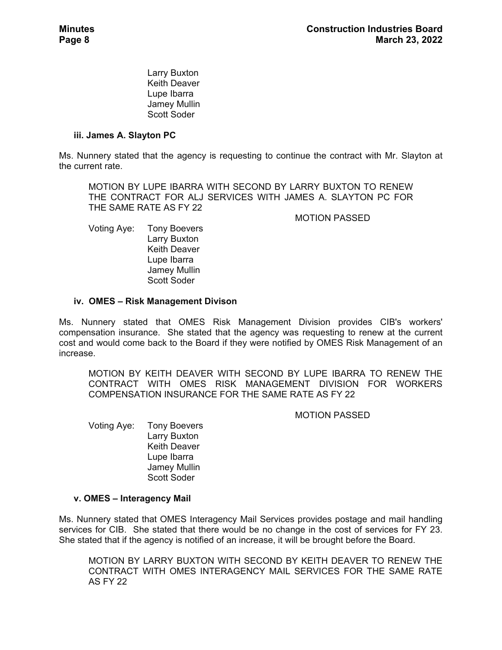Larry Buxton Keith Deaver Lupe Ibarra Jamey Mullin Scott Soder

## **iii. James A. Slayton PC**

Ms. Nunnery stated that the agency is requesting to continue the contract with Mr. Slayton at the current rate.

MOTION BY LUPE IBARRA WITH SECOND BY LARRY BUXTON TO RENEW THE CONTRACT FOR ALJ SERVICES WITH JAMES A. SLAYTON PC FOR THE SAME RATE AS FY 22

MOTION PASSED

Voting Aye: Tony Boevers Larry Buxton Keith Deaver Lupe Ibarra Jamey Mullin Scott Soder

## **iv. OMES – Risk Management Divison**

Ms. Nunnery stated that OMES Risk Management Division provides CIB's workers' compensation insurance. She stated that the agency was requesting to renew at the current cost and would come back to the Board if they were notified by OMES Risk Management of an increase.

MOTION BY KEITH DEAVER WITH SECOND BY LUPE IBARRA TO RENEW THE CONTRACT WITH OMES RISK MANAGEMENT DIVISION FOR WORKERS COMPENSATION INSURANCE FOR THE SAME RATE AS FY 22

MOTION PASSED

Voting Aye: Tony Boevers Larry Buxton Keith Deaver Lupe Ibarra Jamey Mullin Scott Soder

# **v. OMES – Interagency Mail**

Ms. Nunnery stated that OMES Interagency Mail Services provides postage and mail handling services for CIB. She stated that there would be no change in the cost of services for FY 23. She stated that if the agency is notified of an increase, it will be brought before the Board.

MOTION BY LARRY BUXTON WITH SECOND BY KEITH DEAVER TO RENEW THE CONTRACT WITH OMES INTERAGENCY MAIL SERVICES FOR THE SAME RATE AS FY 22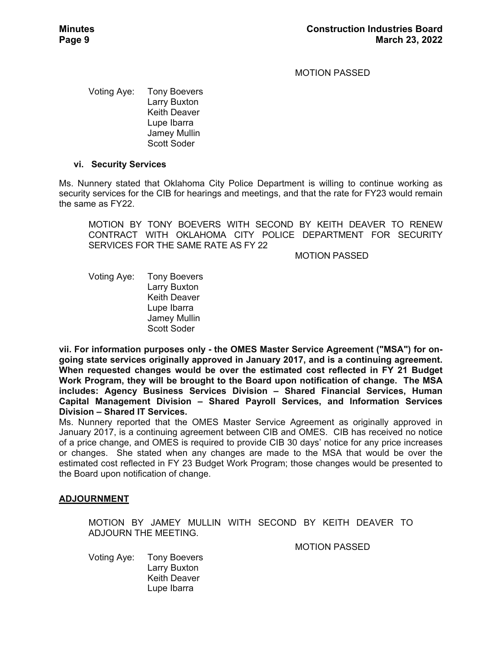MOTION PASSED

Voting Aye: Tony Boevers Larry Buxton Keith Deaver Lupe Ibarra Jamey Mullin Scott Soder

### **vi. Security Services**

Ms. Nunnery stated that Oklahoma City Police Department is willing to continue working as security services for the CIB for hearings and meetings, and that the rate for FY23 would remain the same as FY22.

MOTION BY TONY BOEVERS WITH SECOND BY KEITH DEAVER TO RENEW CONTRACT WITH OKLAHOMA CITY POLICE DEPARTMENT FOR SECURITY SERVICES FOR THE SAME RATE AS FY 22

MOTION PASSED

Voting Aye: Tony Boevers Larry Buxton Keith Deaver Lupe Ibarra Jamey Mullin Scott Soder

**vii. For information purposes only - the OMES Master Service Agreement ("MSA") for ongoing state services originally approved in January 2017, and is a continuing agreement. When requested changes would be over the estimated cost reflected in FY 21 Budget Work Program, they will be brought to the Board upon notification of change. The MSA includes: Agency Business Services Division – Shared Financial Services, Human Capital Management Division – Shared Payroll Services, and Information Services Division – Shared IT Services.** 

Ms. Nunnery reported that the OMES Master Service Agreement as originally approved in January 2017, is a continuing agreement between CIB and OMES. CIB has received no notice of a price change, and OMES is required to provide CIB 30 days' notice for any price increases or changes. She stated when any changes are made to the MSA that would be over the estimated cost reflected in FY 23 Budget Work Program; those changes would be presented to the Board upon notification of change.

### **ADJOURNMENT**

MOTION BY JAMEY MULLIN WITH SECOND BY KEITH DEAVER TO ADJOURN THE MEETING.

MOTION PASSED

Voting Aye: Tony Boevers Larry Buxton Keith Deaver Lupe Ibarra